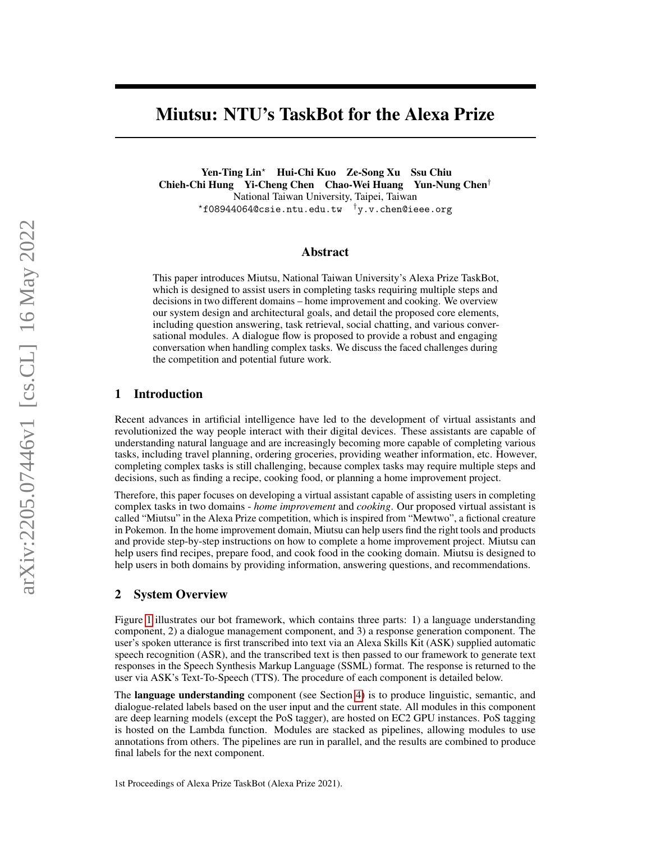# Miutsu: NTU's TaskBot for the Alexa Prize

Yen-Ting Lin? Hui-Chi Kuo Ze-Song Xu Ssu Chiu Chieh-Chi Hung Yi-Cheng Chen Chao-Wei Huang Yun-Nung Chen† National Taiwan University, Taipei, Taiwan  $*$ f08944064@csie.ntu.edu.tw  $\dagger$ y.v.chen@ieee.org

#### Abstract

This paper introduces Miutsu, National Taiwan University's Alexa Prize TaskBot, which is designed to assist users in completing tasks requiring multiple steps and decisions in two different domains – home improvement and cooking. We overview our system design and architectural goals, and detail the proposed core elements, including question answering, task retrieval, social chatting, and various conversational modules. A dialogue flow is proposed to provide a robust and engaging conversation when handling complex tasks. We discuss the faced challenges during the competition and potential future work.

#### 1 Introduction

Recent advances in artificial intelligence have led to the development of virtual assistants and revolutionized the way people interact with their digital devices. These assistants are capable of understanding natural language and are increasingly becoming more capable of completing various tasks, including travel planning, ordering groceries, providing weather information, etc. However, completing complex tasks is still challenging, because complex tasks may require multiple steps and decisions, such as finding a recipe, cooking food, or planning a home improvement project.

Therefore, this paper focuses on developing a virtual assistant capable of assisting users in completing complex tasks in two domains - *home improvement* and *cooking*. Our proposed virtual assistant is called "Miutsu" in the Alexa Prize competition, which is inspired from "Mewtwo", a fictional creature in Pokemon. In the home improvement domain, Miutsu can help users find the right tools and products and provide step-by-step instructions on how to complete a home improvement project. Miutsu can help users find recipes, prepare food, and cook food in the cooking domain. Miutsu is designed to help users in both domains by providing information, answering questions, and recommendations.

#### 2 System Overview

Figure [1](#page-1-0) illustrates our bot framework, which contains three parts: 1) a language understanding component, 2) a dialogue management component, and 3) a response generation component. The user's spoken utterance is first transcribed into text via an Alexa Skills Kit (ASK) supplied automatic speech recognition (ASR), and the transcribed text is then passed to our framework to generate text responses in the Speech Synthesis Markup Language (SSML) format. The response is returned to the user via ASK's Text-To-Speech (TTS). The procedure of each component is detailed below.

The language understanding component (see Section [4\)](#page-2-0) is to produce linguistic, semantic, and dialogue-related labels based on the user input and the current state. All modules in this component are deep learning models (except the PoS tagger), are hosted on EC2 GPU instances. PoS tagging is hosted on the Lambda function. Modules are stacked as pipelines, allowing modules to use annotations from others. The pipelines are run in parallel, and the results are combined to produce final labels for the next component.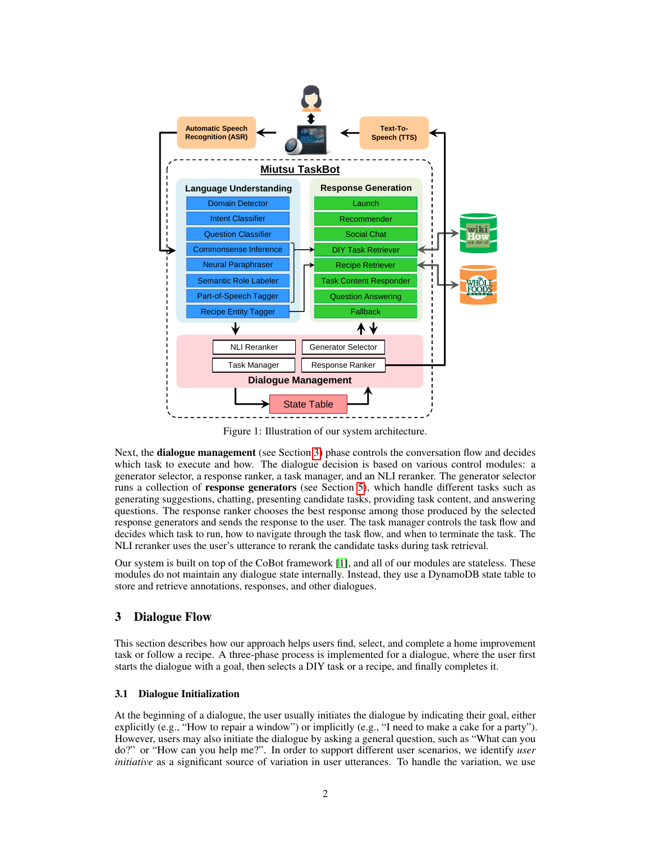<span id="page-1-0"></span>

Figure 1: Illustration of our system architecture.

Next, the **dialogue management** (see Section [3\)](#page-1-1) phase controls the conversation flow and decides which task to execute and how. The dialogue decision is based on various control modules: a generator selector, a response ranker, a task manager, and an NLI reranker. The generator selector runs a collection of response generators (see Section [5\)](#page-5-0), which handle different tasks such as generating suggestions, chatting, presenting candidate tasks, providing task content, and answering questions. The response ranker chooses the best response among those produced by the selected response generators and sends the response to the user. The task manager controls the task flow and decides which task to run, how to navigate through the task flow, and when to terminate the task. The NLI reranker uses the user's utterance to rerank the candidate tasks during task retrieval.

Our system is built on top of the CoBot framework [\[1\]](#page-10-0), and all of our modules are stateless. These modules do not maintain any dialogue state internally. Instead, they use a DynamoDB state table to store and retrieve annotations, responses, and other dialogues.

## <span id="page-1-1"></span>3 Dialogue Flow

This section describes how our approach helps users find, select, and complete a home improvement task or follow a recipe. A three-phase process is implemented for a dialogue, where the user first starts the dialogue with a goal, then selects a DIY task or a recipe, and finally completes it.

#### 3.1 Dialogue Initialization

At the beginning of a dialogue, the user usually initiates the dialogue by indicating their goal, either explicitly (e.g., "How to repair a window") or implicitly (e.g., "I need to make a cake for a party"). However, users may also initiate the dialogue by asking a general question, such as "What can you do?" or "How can you help me?". In order to support different user scenarios, we identify *user initiative* as a significant source of variation in user utterances. To handle the variation, we use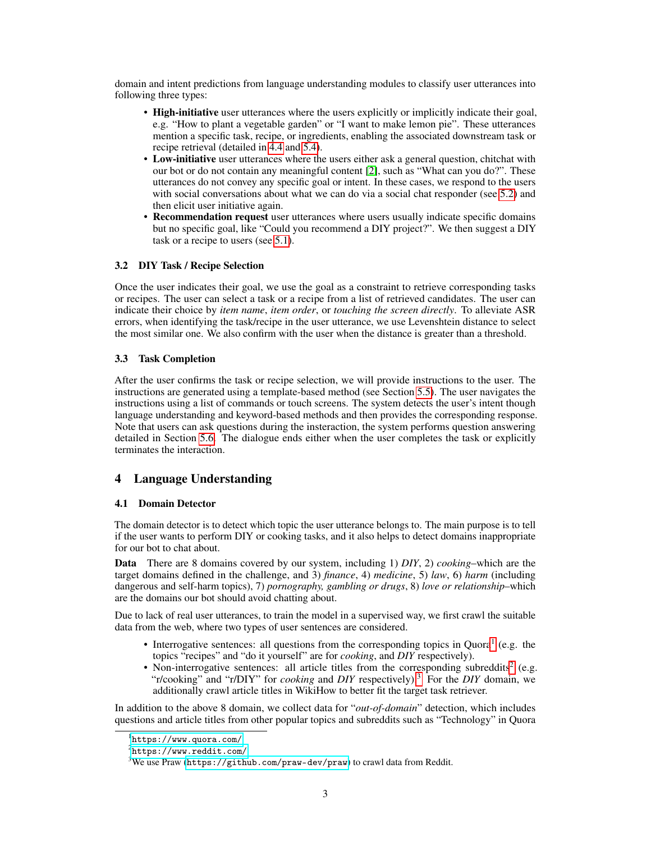domain and intent predictions from language understanding modules to classify user utterances into following three types:

- High-initiative user utterances where the users explicitly or implicitly indicate their goal, e.g. "How to plant a vegetable garden" or "I want to make lemon pie". These utterances mention a specific task, recipe, or ingredients, enabling the associated downstream task or recipe retrieval (detailed in [4.4](#page-3-0) and [5.4\)](#page-6-0).
- Low-initiative user utterances where the users either ask a general question, chitchat with our bot or do not contain any meaningful content [\[2\]](#page-10-1), such as "What can you do?". These utterances do not convey any specific goal or intent. In these cases, we respond to the users with social conversations about what we can do via a social chat responder (see [5.2\)](#page-6-1) and then elicit user initiative again.
- **Recommendation request** user utterances where users usually indicate specific domains but no specific goal, like "Could you recommend a DIY project?". We then suggest a DIY task or a recipe to users (see [5.1\)](#page-5-1).

#### 3.2 DIY Task / Recipe Selection

Once the user indicates their goal, we use the goal as a constraint to retrieve corresponding tasks or recipes. The user can select a task or a recipe from a list of retrieved candidates. The user can indicate their choice by *item name*, *item order*, or *touching the screen directly*. To alleviate ASR errors, when identifying the task/recipe in the user utterance, we use Levenshtein distance to select the most similar one. We also confirm with the user when the distance is greater than a threshold.

#### 3.3 Task Completion

After the user confirms the task or recipe selection, we will provide instructions to the user. The instructions are generated using a template-based method (see Section [5.5\)](#page-6-2). The user navigates the instructions using a list of commands or touch screens. The system detects the user's intent though language understanding and keyword-based methods and then provides the corresponding response. Note that users can ask questions during the insteraction, the system performs question answering detailed in Section [5.6.](#page-6-3) The dialogue ends either when the user completes the task or explicitly terminates the interaction.

# <span id="page-2-0"></span>4 Language Understanding

#### 4.1 Domain Detector

The domain detector is to detect which topic the user utterance belongs to. The main purpose is to tell if the user wants to perform DIY or cooking tasks, and it also helps to detect domains inappropriate for our bot to chat about.

Data There are 8 domains covered by our system, including 1) *DIY*, 2) *cooking*–which are the target domains defined in the challenge, and 3) *finance*, 4) *medicine*, 5) *law*, 6) *harm* (including dangerous and self-harm topics), 7) *pornography, gambling or drugs*, 8) *love or relationship*–which are the domains our bot should avoid chatting about.

Due to lack of real user utterances, to train the model in a supervised way, we first crawl the suitable data from the web, where two types of user sentences are considered.

- Interrogative sentences: all questions from the corresponding topics in Quora<sup>[1](#page-2-1)</sup> (e.g. the topics "recipes" and "do it yourself" are for *cooking*, and *DIY* respectively).
- Non-interrogative sentences: all article titles from the corresponding subreddits<sup>[2](#page-2-2)</sup> (e.g. "r/cooking" and "r/DIY" for *cooking* and *DIY* respectively).[3](#page-2-3) For the *DIY* domain, we additionally crawl article titles in WikiHow to better fit the target task retriever.

In addition to the above 8 domain, we collect data for "*out-of-domain*" detection, which includes questions and article titles from other popular topics and subreddits such as "Technology" in Quora

<span id="page-2-1"></span><sup>1</sup> <https://www.quora.com/>

<span id="page-2-2"></span><sup>2</sup> <https://www.reddit.com/>

<span id="page-2-3"></span> $3$ We use Praw (<https://github.com/praw-dev/praw>) to crawl data from Reddit.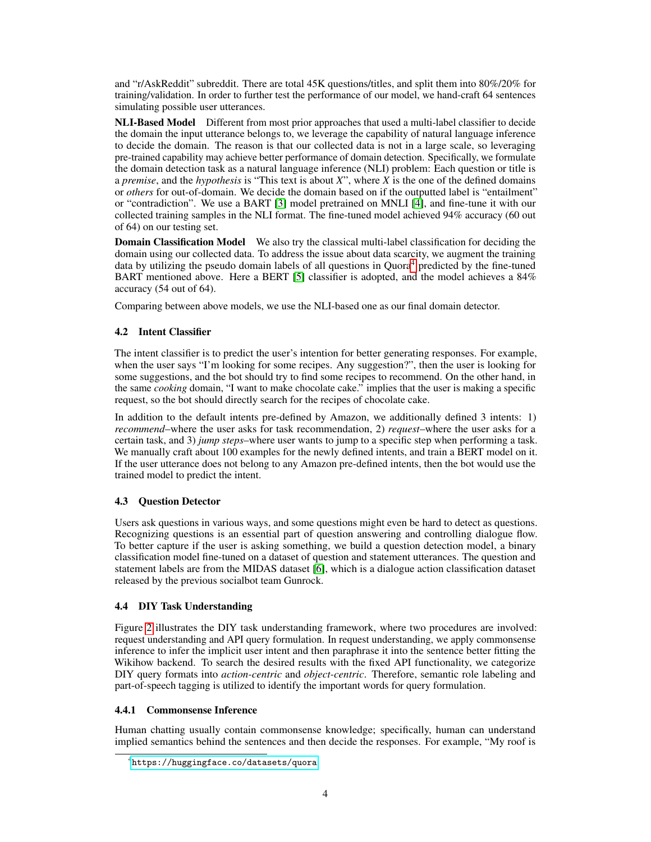and "r/AskReddit" subreddit. There are total 45K questions/titles, and split them into 80%/20% for training/validation. In order to further test the performance of our model, we hand-craft 64 sentences simulating possible user utterances.

NLI-Based Model Different from most prior approaches that used a multi-label classifier to decide the domain the input utterance belongs to, we leverage the capability of natural language inference to decide the domain. The reason is that our collected data is not in a large scale, so leveraging pre-trained capability may achieve better performance of domain detection. Specifically, we formulate the domain detection task as a natural language inference (NLI) problem: Each question or title is a *premise*, and the *hypothesis* is "This text is about *X*", where *X* is the one of the defined domains or *others* for out-of-domain. We decide the domain based on if the outputted label is "entailment" or "contradiction". We use a BART [\[3\]](#page-10-2) model pretrained on MNLI [\[4\]](#page-10-3), and fine-tune it with our collected training samples in the NLI format. The fine-tuned model achieved 94% accuracy (60 out of 64) on our testing set.

Domain Classification Model We also try the classical multi-label classification for deciding the domain using our collected data. To address the issue about data scarcity, we augment the training data by utilizing the pseudo domain labels of all questions in Quora<sup>[4](#page-3-1)</sup> predicted by the fine-tuned BART mentioned above. Here a BERT [\[5\]](#page-10-4) classifier is adopted, and the model achieves a 84% accuracy (54 out of 64).

Comparing between above models, we use the NLI-based one as our final domain detector.

#### 4.2 Intent Classifier

The intent classifier is to predict the user's intention for better generating responses. For example, when the user says "I'm looking for some recipes. Any suggestion?", then the user is looking for some suggestions, and the bot should try to find some recipes to recommend. On the other hand, in the same *cooking* domain, "I want to make chocolate cake." implies that the user is making a specific request, so the bot should directly search for the recipes of chocolate cake.

In addition to the default intents pre-defined by Amazon, we additionally defined 3 intents: 1) *recommend*–where the user asks for task recommendation, 2) *request*–where the user asks for a certain task, and 3) *jump steps*–where user wants to jump to a specific step when performing a task. We manually craft about 100 examples for the newly defined intents, and train a BERT model on it. If the user utterance does not belong to any Amazon pre-defined intents, then the bot would use the trained model to predict the intent.

#### 4.3 Question Detector

Users ask questions in various ways, and some questions might even be hard to detect as questions. Recognizing questions is an essential part of question answering and controlling dialogue flow. To better capture if the user is asking something, we build a question detection model, a binary classification model fine-tuned on a dataset of question and statement utterances. The question and statement labels are from the MIDAS dataset [\[6\]](#page-10-5), which is a dialogue action classification dataset released by the previous socialbot team Gunrock.

#### <span id="page-3-0"></span>4.4 DIY Task Understanding

Figure [2](#page-4-0) illustrates the DIY task understanding framework, where two procedures are involved: request understanding and API query formulation. In request understanding, we apply commonsense inference to infer the implicit user intent and then paraphrase it into the sentence better fitting the Wikihow backend. To search the desired results with the fixed API functionality, we categorize DIY query formats into *action-centric* and *object-centric*. Therefore, semantic role labeling and part-of-speech tagging is utilized to identify the important words for query formulation.

#### 4.4.1 Commonsense Inference

Human chatting usually contain commonsense knowledge; specifically, human can understand implied semantics behind the sentences and then decide the responses. For example, "My roof is

<span id="page-3-1"></span><sup>4</sup> <https://huggingface.co/datasets/quora>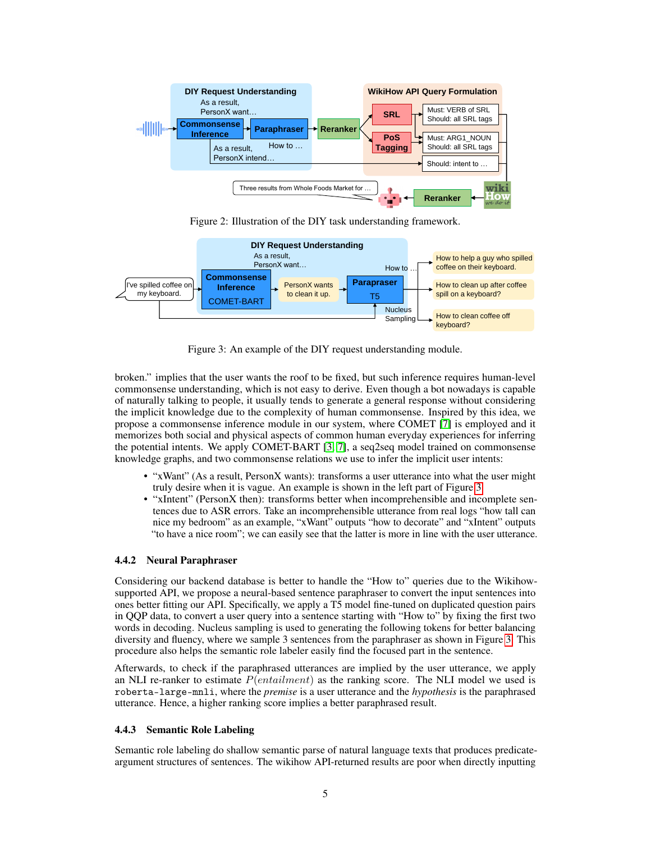<span id="page-4-0"></span>

Figure 2: Illustration of the DIY task understanding framework.

<span id="page-4-1"></span>

Figure 3: An example of the DIY request understanding module.

broken." implies that the user wants the roof to be fixed, but such inference requires human-level commonsense understanding, which is not easy to derive. Even though a bot nowadays is capable of naturally talking to people, it usually tends to generate a general response without considering the implicit knowledge due to the complexity of human commonsense. Inspired by this idea, we propose a commonsense inference module in our system, where COMET [\[7\]](#page-10-6) is employed and it memorizes both social and physical aspects of common human everyday experiences for inferring the potential intents. We apply COMET-BART [\[3,](#page-10-2) [7\]](#page-10-6), a seq2seq model trained on commonsense knowledge graphs, and two commonsense relations we use to infer the implicit user intents:

- "xWant" (As a result, PersonX wants): transforms a user utterance into what the user might truly desire when it is vague. An example is shown in the left part of Figure [3.](#page-4-1)
- "xIntent" (PersonX then): transforms better when incomprehensible and incomplete sentences due to ASR errors. Take an incomprehensible utterance from real logs "how tall can nice my bedroom" as an example, "xWant" outputs "how to decorate" and "xIntent" outputs "to have a nice room"; we can easily see that the latter is more in line with the user utterance.

#### 4.4.2 Neural Paraphraser

Considering our backend database is better to handle the "How to" queries due to the Wikihowsupported API, we propose a neural-based sentence paraphraser to convert the input sentences into ones better fitting our API. Specifically, we apply a T5 model fine-tuned on duplicated question pairs in QQP data, to convert a user query into a sentence starting with "How to" by fixing the first two words in decoding. Nucleus sampling is used to generating the following tokens for better balancing diversity and fluency, where we sample 3 sentences from the paraphraser as shown in Figure [3.](#page-4-1) This procedure also helps the semantic role labeler easily find the focused part in the sentence.

Afterwards, to check if the paraphrased utterances are implied by the user utterance, we apply an NLI re-ranker to estimate  $P(entailment)$  as the ranking score. The NLI model we used is roberta-large-mnli, where the *premise* is a user utterance and the *hypothesis* is the paraphrased utterance. Hence, a higher ranking score implies a better paraphrased result.

#### 4.4.3 Semantic Role Labeling

Semantic role labeling do shallow semantic parse of natural language texts that produces predicateargument structures of sentences. The wikihow API-returned results are poor when directly inputting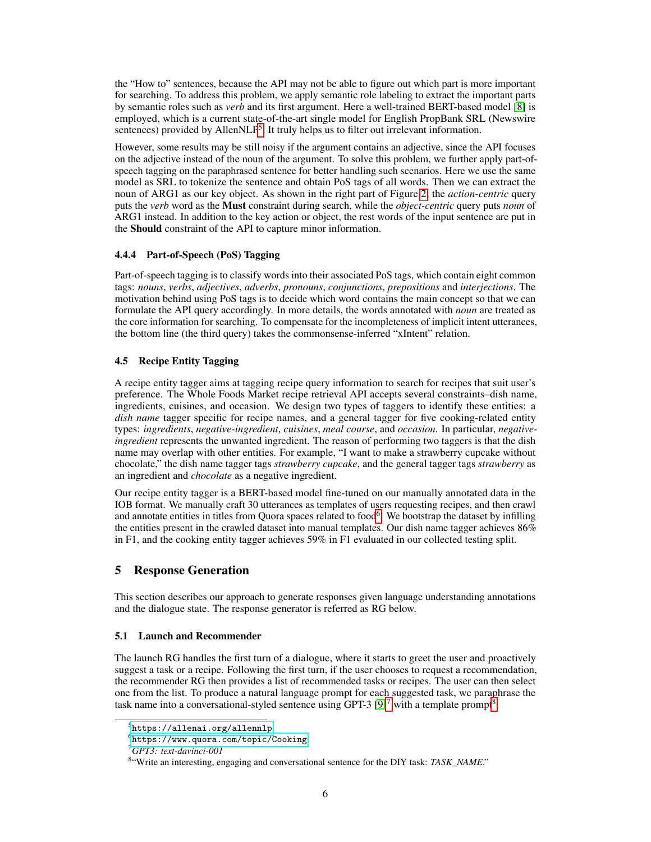the "How to" sentences, because the API may not be able to figure out which part is more important for searching. To address this problem, we apply semantic role labeling to extract the important parts by semantic roles such as *verb* and its first argument. Here a well-trained BERT-based model [\[8\]](#page-10-7) is employed, which is a current state-of-the-art single model for English PropBank SRL (Newswire sentences) provided by AllenNLP<sup>[5](#page-5-2)</sup>. It truly helps us to filter out irrelevant information.

However, some results may be still noisy if the argument contains an adjective, since the API focuses on the adjective instead of the noun of the argument. To solve this problem, we further apply part-ofspeech tagging on the paraphrased sentence for better handling such scenarios. Here we use the same model as SRL to tokenize the sentence and obtain PoS tags of all words. Then we can extract the noun of ARG1 as our key object. As shown in the right part of Figure [2,](#page-4-0) the *action-centric* query puts the *verb* word as the Must constraint during search, while the *object-centric* query puts *noun* of ARG1 instead. In addition to the key action or object, the rest words of the input sentence are put in the Should constraint of the API to capture minor information.

#### 4.4.4 Part-of-Speech (PoS) Tagging

Part-of-speech tagging is to classify words into their associated PoS tags, which contain eight common tags: *nouns*, *verbs*, *adjectives*, *adverbs*, *pronouns*, *conjunctions*, *prepositions* and *interjections*. The motivation behind using PoS tags is to decide which word contains the main concept so that we can formulate the API query accordingly. In more details, the words annotated with *noun* are treated as the core information for searching. To compensate for the incompleteness of implicit intent utterances, the bottom line (the third query) takes the commonsense-inferred "xIntent" relation.

#### 4.5 Recipe Entity Tagging

A recipe entity tagger aims at tagging recipe query information to search for recipes that suit user's preference. The Whole Foods Market recipe retrieval API accepts several constraints–dish name, ingredients, cuisines, and occasion. We design two types of taggers to identify these entities: a *dish name* tagger specific for recipe names, and a general tagger for five cooking-related entity types: *ingredients*, *negative-ingredient*, *cuisines*, *meal course*, and *occasion*. In particular, *negativeingredient* represents the unwanted ingredient. The reason of performing two taggers is that the dish name may overlap with other entities. For example, "I want to make a strawberry cupcake without chocolate," the dish name tagger tags *strawberry cupcake*, and the general tagger tags *strawberry* as an ingredient and *chocolate* as a negative ingredient.

Our recipe entity tagger is a BERT-based model fine-tuned on our manually annotated data in the IOB format. We manually craft 30 utterances as templates of users requesting recipes, and then crawl and annotate entities in titles from Quora spaces related to food<sup>[6](#page-5-3)</sup>. We bootstrap the dataset by infilling the entities present in the crawled dataset into manual templates. Our dish name tagger achieves 86% in F1, and the cooking entity tagger achieves 59% in F1 evaluated in our collected testing split.

# <span id="page-5-0"></span>5 Response Generation

This section describes our approach to generate responses given language understanding annotations and the dialogue state. The response generator is referred as RG below.

#### <span id="page-5-1"></span>5.1 Launch and Recommender

The launch RG handles the first turn of a dialogue, where it starts to greet the user and proactively suggest a task or a recipe. Following the first turn, if the user chooses to request a recommendation, the recommender RG then provides a list of recommended tasks or recipes. The user can then select one from the list. To produce a natural language prompt for each suggested task, we paraphrase the task name into a conversational-styled sentence using GPT-3  $[9]^7$  $[9]^7$  $[9]^7$  with a template prompt<sup>[8](#page-5-5)</sup>.

<span id="page-5-2"></span> $^{5}$ <https://allenai.org/allennlp>

<span id="page-5-3"></span> $^6$ <https://www.quora.com/topic/Cooking>

<span id="page-5-4"></span><sup>7</sup>*GPT3: text-davinci-001*

<span id="page-5-5"></span><sup>8</sup> "Write an interesting, engaging and conversational sentence for the DIY task: *TASK\_NAME*."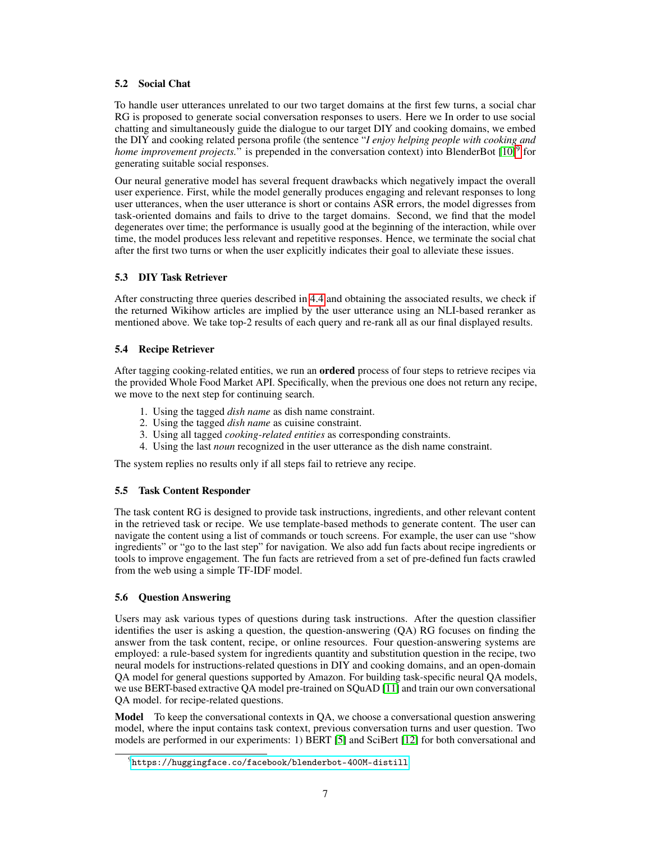#### <span id="page-6-1"></span>5.2 Social Chat

To handle user utterances unrelated to our two target domains at the first few turns, a social char RG is proposed to generate social conversation responses to users. Here we In order to use social chatting and simultaneously guide the dialogue to our target DIY and cooking domains, we embed the DIY and cooking related persona profile (the sentence "*I enjoy helping people with cooking and* home improvement projects." is prepended in the conversation context) into BlenderBot [\[10\]](#page-10-9)<sup>[9](#page-6-4)</sup> for generating suitable social responses.

Our neural generative model has several frequent drawbacks which negatively impact the overall user experience. First, while the model generally produces engaging and relevant responses to long user utterances, when the user utterance is short or contains ASR errors, the model digresses from task-oriented domains and fails to drive to the target domains. Second, we find that the model degenerates over time; the performance is usually good at the beginning of the interaction, while over time, the model produces less relevant and repetitive responses. Hence, we terminate the social chat after the first two turns or when the user explicitly indicates their goal to alleviate these issues.

## 5.3 DIY Task Retriever

After constructing three queries described in [4.4](#page-3-0) and obtaining the associated results, we check if the returned Wikihow articles are implied by the user utterance using an NLI-based reranker as mentioned above. We take top-2 results of each query and re-rank all as our final displayed results.

## <span id="page-6-0"></span>5.4 Recipe Retriever

After tagging cooking-related entities, we run an **ordered** process of four steps to retrieve recipes via the provided Whole Food Market API. Specifically, when the previous one does not return any recipe, we move to the next step for continuing search.

- 1. Using the tagged *dish name* as dish name constraint.
- 2. Using the tagged *dish name* as cuisine constraint.
- 3. Using all tagged *cooking-related entities* as corresponding constraints.
- 4. Using the last *noun* recognized in the user utterance as the dish name constraint.

The system replies no results only if all steps fail to retrieve any recipe.

## <span id="page-6-2"></span>5.5 Task Content Responder

The task content RG is designed to provide task instructions, ingredients, and other relevant content in the retrieved task or recipe. We use template-based methods to generate content. The user can navigate the content using a list of commands or touch screens. For example, the user can use "show ingredients" or "go to the last step" for navigation. We also add fun facts about recipe ingredients or tools to improve engagement. The fun facts are retrieved from a set of pre-defined fun facts crawled from the web using a simple TF-IDF model.

## <span id="page-6-3"></span>5.6 Question Answering

Users may ask various types of questions during task instructions. After the question classifier identifies the user is asking a question, the question-answering (QA) RG focuses on finding the answer from the task content, recipe, or online resources. Four question-answering systems are employed: a rule-based system for ingredients quantity and substitution question in the recipe, two neural models for instructions-related questions in DIY and cooking domains, and an open-domain QA model for general questions supported by Amazon. For building task-specific neural QA models, we use BERT-based extractive QA model pre-trained on SQuAD [\[11\]](#page-10-10) and train our own conversational QA model. for recipe-related questions.

Model To keep the conversational contexts in QA, we choose a conversational question answering model, where the input contains task context, previous conversation turns and user question. Two models are performed in our experiments: 1) BERT [\[5\]](#page-10-4) and SciBert [\[12\]](#page-10-11) for both conversational and

<span id="page-6-4"></span> $^{9}$ <https://huggingface.co/facebook/blenderbot-400M-distill>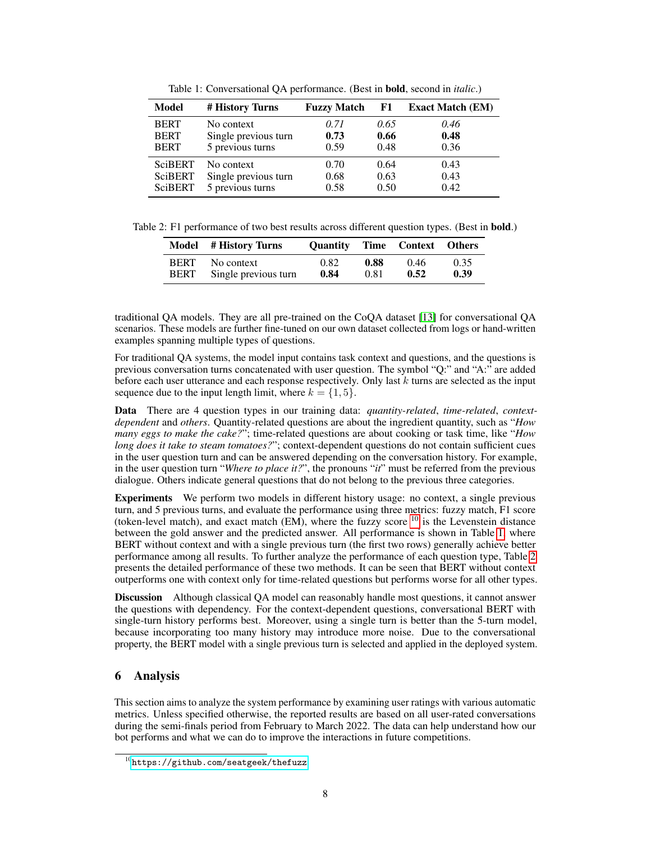<span id="page-7-1"></span>

| Model          | # History Turns      | <b>Fuzzy Match</b> | F1   | <b>Exact Match (EM)</b> |
|----------------|----------------------|--------------------|------|-------------------------|
| <b>BERT</b>    | No context           | 0.71               | 0.65 | 0.46                    |
| <b>BERT</b>    | Single previous turn | 0.73               | 0.66 | 0.48                    |
| <b>BERT</b>    | 5 previous turns     | 0.59               | 0.48 | 0.36                    |
| <b>SciBERT</b> | No context           | 0.70               | 0.64 | 0.43                    |
| <b>SciBERT</b> | Single previous turn | 0.68               | 0.63 | 0.43                    |
| <b>SciBERT</b> | 5 previous turns     | 0.58               | 0.50 | 0.42                    |

Table 1: Conversational QA performance. (Best in bold, second in *italic*.)

<span id="page-7-2"></span>Table 2: F1 performance of two best results across different question types. (Best in **bold.**)

|             | Model # History Turns |      |      | <b>Ouantity Time Context Others</b> |      |
|-------------|-----------------------|------|------|-------------------------------------|------|
| <b>BERT</b> | No context            | 0.82 | 0.88 | 0.46                                | 0.35 |
| <b>BERT</b> | Single previous turn  | 0.84 | 0.81 | 0.52                                | 0.39 |

traditional QA models. They are all pre-trained on the CoQA dataset [\[13\]](#page-10-12) for conversational QA scenarios. These models are further fine-tuned on our own dataset collected from logs or hand-written examples spanning multiple types of questions.

For traditional QA systems, the model input contains task context and questions, and the questions is previous conversation turns concatenated with user question. The symbol "Q:" and "A:" are added before each user utterance and each response respectively. Only last  $k$  turns are selected as the input sequence due to the input length limit, where  $k = \{1, 5\}$ .

Data There are 4 question types in our training data: *quantity-related*, *time-related*, *contextdependent* and *others*. Quantity-related questions are about the ingredient quantity, such as "*How many eggs to make the cake?*"; time-related questions are about cooking or task time, like "*How long does it take to steam tomatoes?"*; context-dependent questions do not contain sufficient cues in the user question turn and can be answered depending on the conversation history. For example, in the user question turn "*Where to place it?*", the pronouns "*it*" must be referred from the previous dialogue. Others indicate general questions that do not belong to the previous three categories.

Experiments We perform two models in different history usage: no context, a single previous turn, and 5 previous turns, and evaluate the performance using three metrics: fuzzy match, F1 score (token-level match), and exact match (EM), where the fuzzy score  $^{10}$  $^{10}$  $^{10}$  is the Levenstein distance between the gold answer and the predicted answer. All performance is shown in Table [1,](#page-7-1) where BERT without context and with a single previous turn (the first two rows) generally achieve better performance among all results. To further analyze the performance of each question type, Table [2](#page-7-2) presents the detailed performance of these two methods. It can be seen that BERT without context outperforms one with context only for time-related questions but performs worse for all other types.

Discussion Although classical QA model can reasonably handle most questions, it cannot answer the questions with dependency. For the context-dependent questions, conversational BERT with single-turn history performs best. Moreover, using a single turn is better than the 5-turn model, because incorporating too many history may introduce more noise. Due to the conversational property, the BERT model with a single previous turn is selected and applied in the deployed system.

# 6 Analysis

This section aims to analyze the system performance by examining user ratings with various automatic metrics. Unless specified otherwise, the reported results are based on all user-rated conversations during the semi-finals period from February to March 2022. The data can help understand how our bot performs and what we can do to improve the interactions in future competitions.

<span id="page-7-0"></span> $^{10}$ <https://github.com/seatgeek/thefuzz>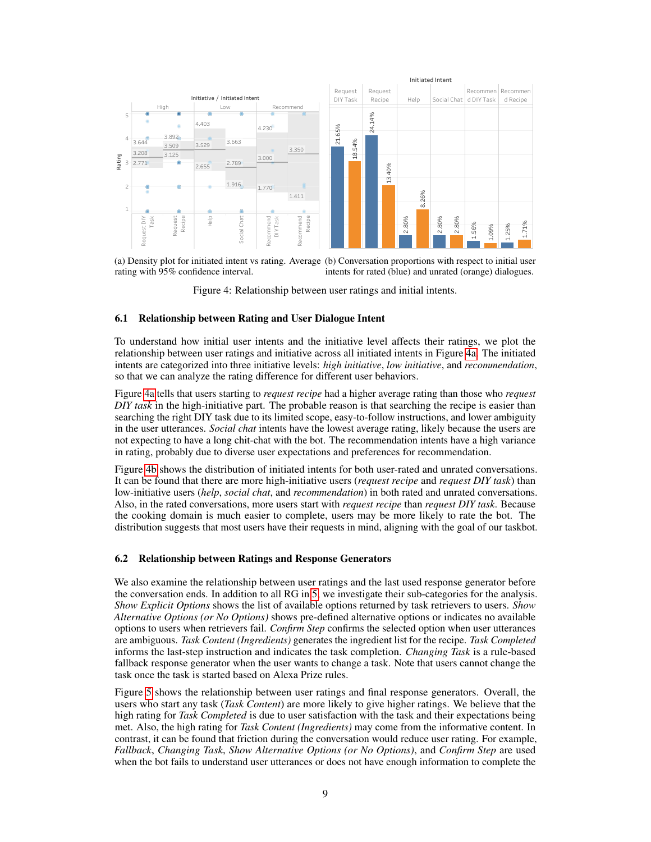<span id="page-8-0"></span>

(a) Density plot for initiated intent vs rating. Average (b) Conversation proportions with respect to initial user rating with 95% confidence interval. intents for rated (blue) and unrated (orange) dialogues.

Figure 4: Relationship between user ratings and initial intents.

#### 6.1 Relationship between Rating and User Dialogue Intent

To understand how initial user intents and the initiative level affects their ratings, we plot the relationship between user ratings and initiative across all initiated intents in Figure [4a.](#page-8-0) The initiated intents are categorized into three initiative levels: *high initiative*, *low initiative*, and *recommendation*, so that we can analyze the rating difference for different user behaviors.

Figure [4a](#page-8-0) tells that users starting to *request recipe* had a higher average rating than those who *request DIY task* in the high-initiative part. The probable reason is that searching the recipe is easier than searching the right DIY task due to its limited scope, easy-to-follow instructions, and lower ambiguity in the user utterances. *Social chat* intents have the lowest average rating, likely because the users are not expecting to have a long chit-chat with the bot. The recommendation intents have a high variance in rating, probably due to diverse user expectations and preferences for recommendation.

Figure [4b](#page-8-0) shows the distribution of initiated intents for both user-rated and unrated conversations. It can be found that there are more high-initiative users (*request recipe* and *request DIY task*) than low-initiative users (*help*, *social chat*, and *recommendation*) in both rated and unrated conversations. Also, in the rated conversations, more users start with *request recipe* than *request DIY task*. Because the cooking domain is much easier to complete, users may be more likely to rate the bot. The distribution suggests that most users have their requests in mind, aligning with the goal of our taskbot.

#### 6.2 Relationship between Ratings and Response Generators

We also examine the relationship between user ratings and the last used response generator before the conversation ends. In addition to all RG in [5,](#page-5-0) we investigate their sub-categories for the analysis. *Show Explicit Options* shows the list of available options returned by task retrievers to users. *Show Alternative Options (or No Options)* shows pre-defined alternative options or indicates no available options to users when retrievers fail. *Confirm Step* confirms the selected option when user utterances are ambiguous. *Task Content (Ingredients)* generates the ingredient list for the recipe. *Task Completed* informs the last-step instruction and indicates the task completion. *Changing Task* is a rule-based fallback response generator when the user wants to change a task. Note that users cannot change the task once the task is started based on Alexa Prize rules.

Figure [5](#page-9-0) shows the relationship between user ratings and final response generators. Overall, the users who start any task (*Task Content*) are more likely to give higher ratings. We believe that the high rating for *Task Completed* is due to user satisfaction with the task and their expectations being met. Also, the high rating for *Task Content (Ingredients)* may come from the informative content. In contrast, it can be found that friction during the conversation would reduce user rating. For example, *Fallback*, *Changing Task*, *Show Alternative Options (or No Options)*, and *Confirm Step* are used when the bot fails to understand user utterances or does not have enough information to complete the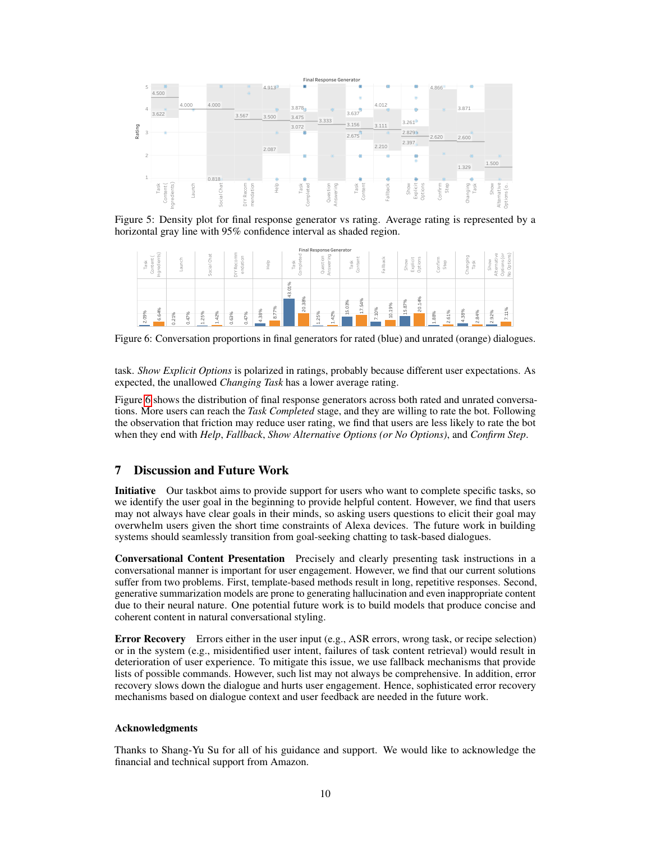<span id="page-9-0"></span>

Figure 5: Density plot for final response generator vs rating. Average rating is represented by a horizontal gray line with 95% confidence interval as shaded region.

<span id="page-9-1"></span>

Figure 6: Conversation proportions in final generators for rated (blue) and unrated (orange) dialogues.

task. *Show Explicit Options* is polarized in ratings, probably because different user expectations. As expected, the unallowed *Changing Task* has a lower average rating.

Figure [6](#page-9-1) shows the distribution of final response generators across both rated and unrated conversations. More users can reach the *Task Completed* stage, and they are willing to rate the bot. Following the observation that friction may reduce user rating, we find that users are less likely to rate the bot when they end with *Help*, *Fallback*, *Show Alternative Options (or No Options)*, and *Confirm Step*.

## 7 Discussion and Future Work

Initiative Our taskbot aims to provide support for users who want to complete specific tasks, so we identify the user goal in the beginning to provide helpful content. However, we find that users may not always have clear goals in their minds, so asking users questions to elicit their goal may overwhelm users given the short time constraints of Alexa devices. The future work in building systems should seamlessly transition from goal-seeking chatting to task-based dialogues.

Conversational Content Presentation Precisely and clearly presenting task instructions in a conversational manner is important for user engagement. However, we find that our current solutions suffer from two problems. First, template-based methods result in long, repetitive responses. Second, generative summarization models are prone to generating hallucination and even inappropriate content due to their neural nature. One potential future work is to build models that produce concise and coherent content in natural conversational styling.

Error Recovery Errors either in the user input (e.g., ASR errors, wrong task, or recipe selection) or in the system (e.g., misidentified user intent, failures of task content retrieval) would result in deterioration of user experience. To mitigate this issue, we use fallback mechanisms that provide lists of possible commands. However, such list may not always be comprehensive. In addition, error recovery slows down the dialogue and hurts user engagement. Hence, sophisticated error recovery mechanisms based on dialogue context and user feedback are needed in the future work.

#### Acknowledgments

Thanks to Shang-Yu Su for all of his guidance and support. We would like to acknowledge the financial and technical support from Amazon.